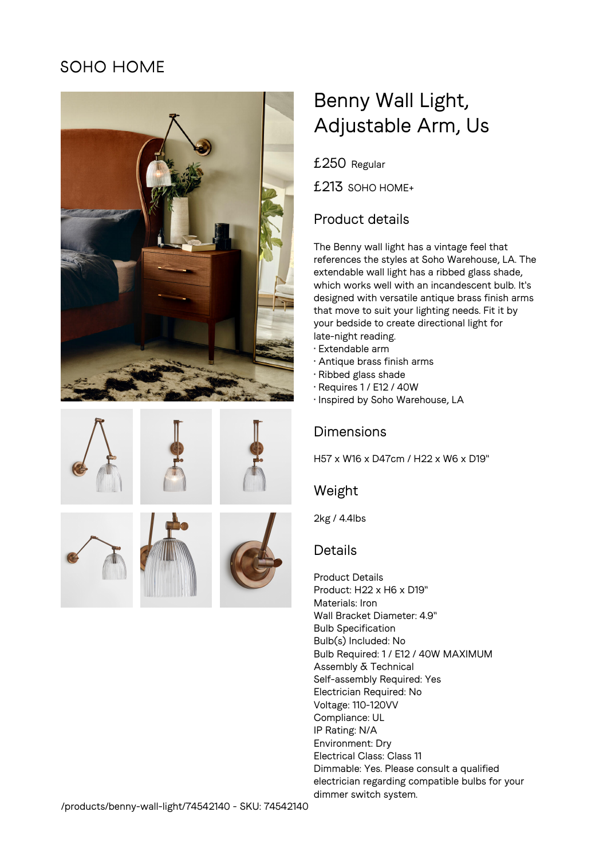# SOHO HOME











# Benny Wall Light, Adjustable Arm, Us

£250 Regular

£213 SOHO HOME+

# Product details

The Benny wall light has a vintage feel that references the styles at Soho Warehouse, LA. The extendable wall light has a ribbed glass shade, which works well with an incandescent bulb. It's designed with versatile antique brass finish arms that move to suit your lighting needs. Fit it by your bedside to create directional light for late-night reading.

- Extendable arm
- Antique brass finish arms
- Ribbed glass shade
- Requires 1 / E12 / 40W
- Inspired by Soho Warehouse, LA

# Dimensions

H57 x W16 x D47cm / H22 x W6 x D19"

# Weight

2kg / 4.4lbs

# **Details**

Product Details Product: H22 x H6 x D19" Materials: Iron Wall Bracket Diameter: 4.9" Bulb Specification Bulb(s) Included: No Bulb Required: 1 / E12 / 40W MAXIMUM Assembly & Technical Self-assembly Required: Yes Electrician Required: No Voltage: 110-120VV Compliance: UL IP Rating: N/A Environment: Dry Electrical Class: Class 11 Dimmable: Yes. Please consult a qualified electrician regarding compatible bulbs for your dimmer switch system.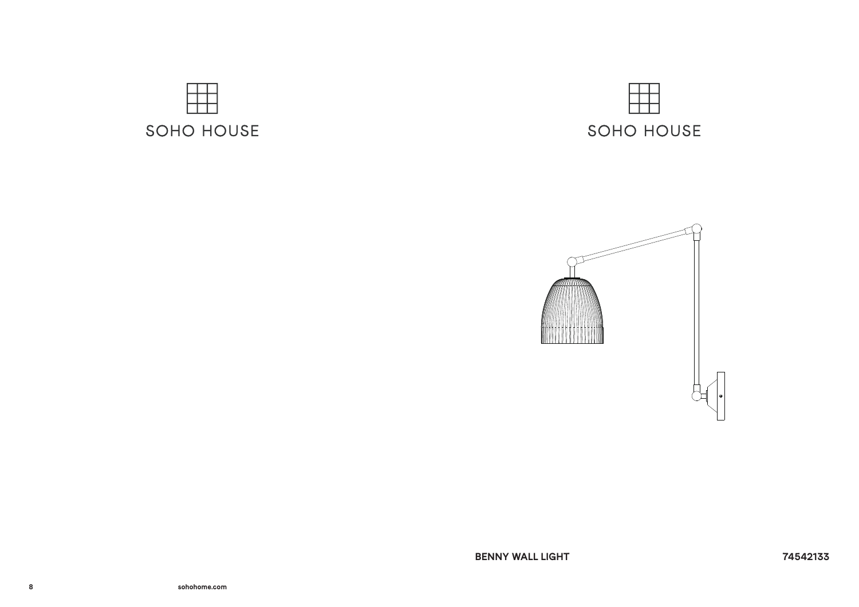



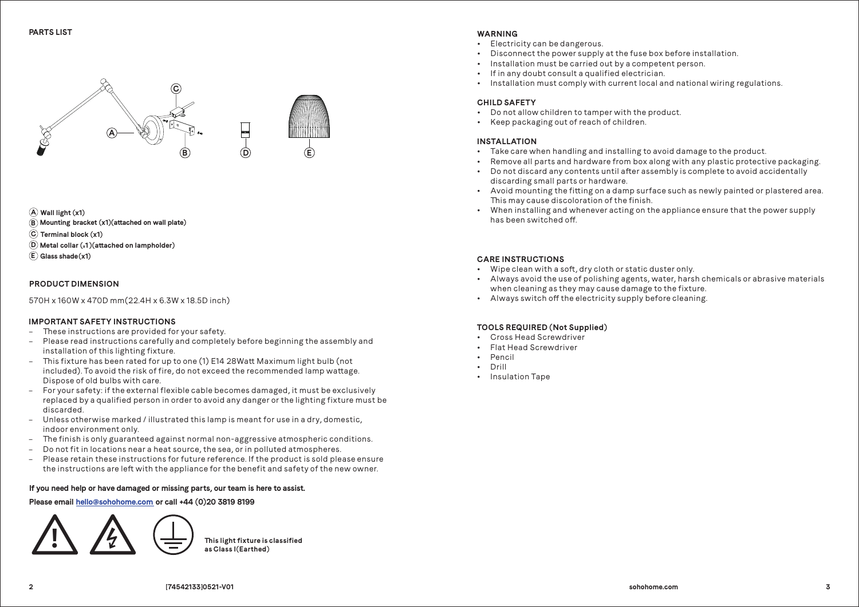

**Wall light (x1) A Terminal block (x1) C Mounting bracket (x1)(aached on wall plate) B Glass shade(x1) E D Metal collar (x1)(aached on lampholder)**

#### **PRODUCT DIMENSION**

570H x 160W x 470D mm(22.4H x 6.3W x 18.5D inch)

### **IMPORTANT SAFETY INSTRUCTIONS**

- These instructions are provided for your safety.
- Please read instructions carefully and completely before beginning the assembly and installation of this lighting fixture.
- This fixture has been rated for up to one (1) E14 28Watt Maximum light bulb (not included). To avoid the risk of fire, do not exceed the recommended lamp wattage. Dispose of old bulbs with care.
- For your safety: if the external flexible cable becomes damaged, it must be exclusively replaced by a qualified person in order to avoid any danger or the lighting fixture must be discarded.
- Unless otherwise marked / illustrated this lamp is meant for use in a dry, domestic, indoor environment only.
- The finish is only guaranteed against normal non-aggressive atmospheric conditions.
- Do not fit in locations near a heat source, the sea, or in polluted atmospheres.
- Please retain these instructions for future reference. If the product is sold please ensure the instructions are left with the appliance for the benefit and safety of the new owner.

## **If you need help or have damaged or missing parts, our team is here to assist.**

# **Please email hello@sohohome.com or call +44 (0)20 3819 8199**





### **WARNING**

- Electricity can be dangerous.
- Disconnect the power supply at the fuse box before installation.
- $\cdot$  Installation must be carried out by a competent person.
- If in any doubt consult a qualified electrician.
- Installation must comply with current local and national wiring regulations.

### **CHILD SAFETY**

- Do not allow children to tamper with the product.
- Keep packaging out of reach of children.

### **INSTALLATION**

- $\cdot$  Take care when handling and installing to avoid damage to the product.
- Remove all parts and hardware from box along with any plastic protective packaging.
- Do not discard any contents until after assembly is complete to avoid accidentally discarding small parts or hardware.
- Avoid mounting the fitting on a damp surface such as newly painted or plastered area. This may cause discoloration of the finish.
- When installing and whenever acting on the appliance ensure that the power supply has been switched off.

### **CARE INSTRUCTIONS**

- Wipe clean with a soft, dry cloth or static duster only.
- Always avoid the use of polishing agents, water, harsh chemicals or abrasive materials when cleaning as they may cause damage to the fixture.
- Always switch off the electricity supply before cleaning.

### **TOOLS REQUIRED (Not Supplied)**

- Cross Head Screwdriver
- **Flat Head Screwdriver**
- Pencil
- Drill
- Insulation Tape

**2**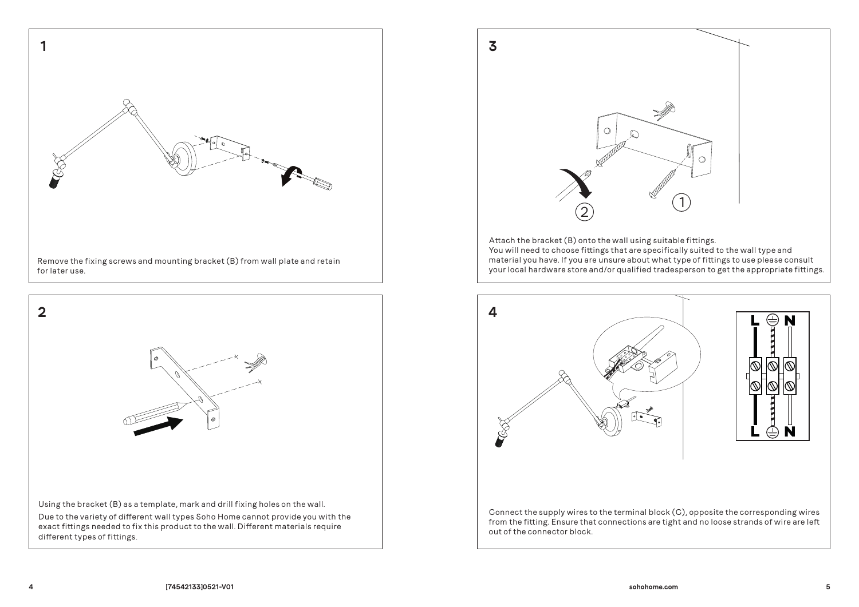





You will need to choose fittings that are specifically suited to the wall type and material you have. If you are unsure about what type of fittings to use please consult your local hardware store and/or qualified tradesperson to get the appropriate fittings.



from the fitting. Ensure that connections are tight and no loose strands of wire are left out of the connector block.